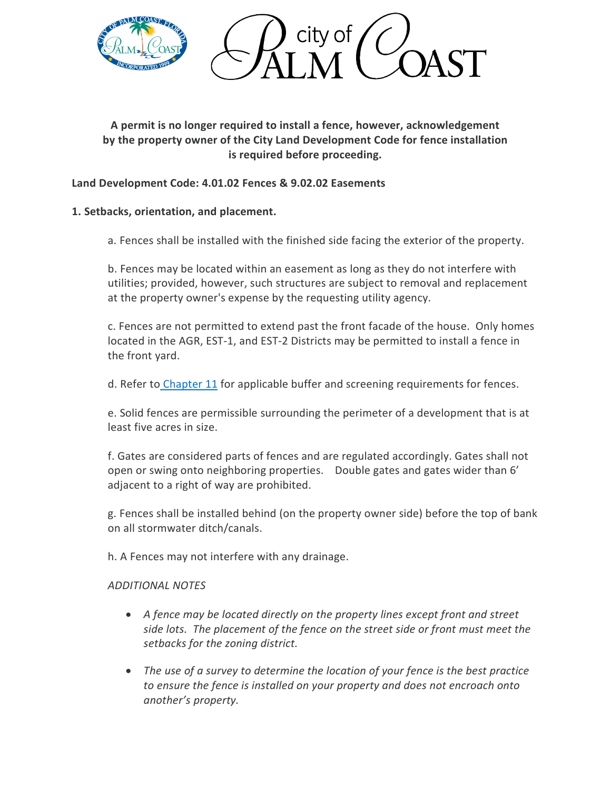

**A permit is no longer required to install a fence, however, acknowledgement by the property owner of the City Land Development Code for fence installation is required before proceeding.**

# **Land Development Code: 4.01.02 Fences & 9.02.02 Easements**

## **1. Setbacks, orientation, and placement.**

a. Fences shall be installed with the finished side facing the exterior of the property.

b. Fences may be located within an easement as long as they do not interfere with utilities; provided, however, such structures are subject to removal and replacement at the property owner's expense by the requesting utility agency.

c. Fences are not permitted to extend past the front facade of the house. Only homes located in the AGR, EST-1, and EST-2 Districts may be permitted to install a fence in the front yard.

d. Refer to [Chapter 11](https://library.municode.com/fl/palm_coast/codes/land_development_code?nodeId=PACOUNLADECO_CH11TRPRLABUIR) for applicable buffer and screening requirements for fences.

e. Solid fences are permissible surrounding the perimeter of a development that is at least five acres in size.

f. Gates are considered parts of fences and are regulated accordingly. Gates shall not open or swing onto neighboring properties. Double gates and gates wider than 6' adjacent to a right of way are prohibited.

g. Fences shall be installed behind (on the property owner side) before the top of bank on all stormwater ditch/canals.

h. A Fences may not interfere with any drainage.

#### *ADDITIONAL NOTES*

- *A fence may be located directly on the property lines except front and street side lots. The placement of the fence on the street side or front must meet the setbacks for the zoning district.*
- *The use of a survey to determine the location of your fence is the best practice to ensure the fence is installed on your property and does not encroach onto another's property.*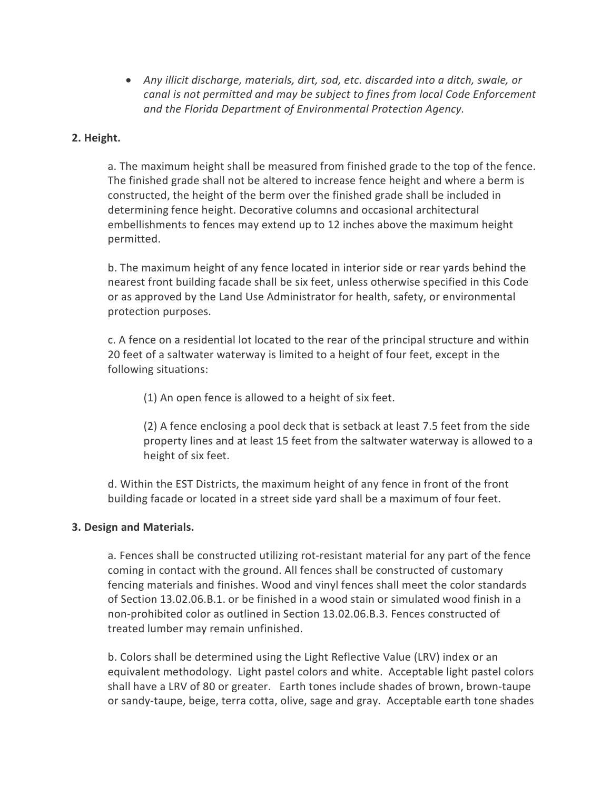• *Any illicit discharge, materials, dirt, sod, etc. discarded into a ditch, swale, or canal is not permitted and may be subject to fines from local Code Enforcement and the Florida Department of Environmental Protection Agency.*

### **2. Height.**

a. The maximum height shall be measured from finished grade to the top of the fence. The finished grade shall not be altered to increase fence height and where a berm is constructed, the height of the berm over the finished grade shall be included in determining fence height. Decorative columns and occasional architectural embellishments to fences may extend up to 12 inches above the maximum height permitted.

b. The maximum height of any fence located in interior side or rear yards behind the nearest front building facade shall be six feet, unless otherwise specified in this Code or as approved by the Land Use Administrator for health, safety, or environmental protection purposes.

c. A fence on a residential lot located to the rear of the principal structure and within 20 feet of a saltwater waterway is limited to a height of four feet, except in the following situations:

(1) An open fence is allowed to a height of six feet.

(2) A fence enclosing a pool deck that is setback at least 7.5 feet from the side property lines and at least 15 feet from the saltwater waterway is allowed to a height of six feet.

d. Within the EST Districts, the maximum height of any fence in front of the front building facade or located in a street side yard shall be a maximum of four feet.

#### **3. Design and Materials.**

a. Fences shall be constructed utilizing rot-resistant material for any part of the fence coming in contact with the ground. All fences shall be constructed of customary fencing materials and finishes. Wood and vinyl fences shall meet the color standards of Section 13.02.06.B.1. or be finished in a wood stain or simulated wood finish in a non-prohibited color as outlined in Section 13.02.06.B.3. Fences constructed of treated lumber may remain unfinished.

b. Colors shall be determined using the Light Reflective Value (LRV) index or an equivalent methodology. Light pastel colors and white. Acceptable light pastel colors shall have a LRV of 80 or greater. Earth tones include shades of brown, brown-taupe or sandy-taupe, beige, terra cotta, olive, sage and gray. Acceptable earth tone shades